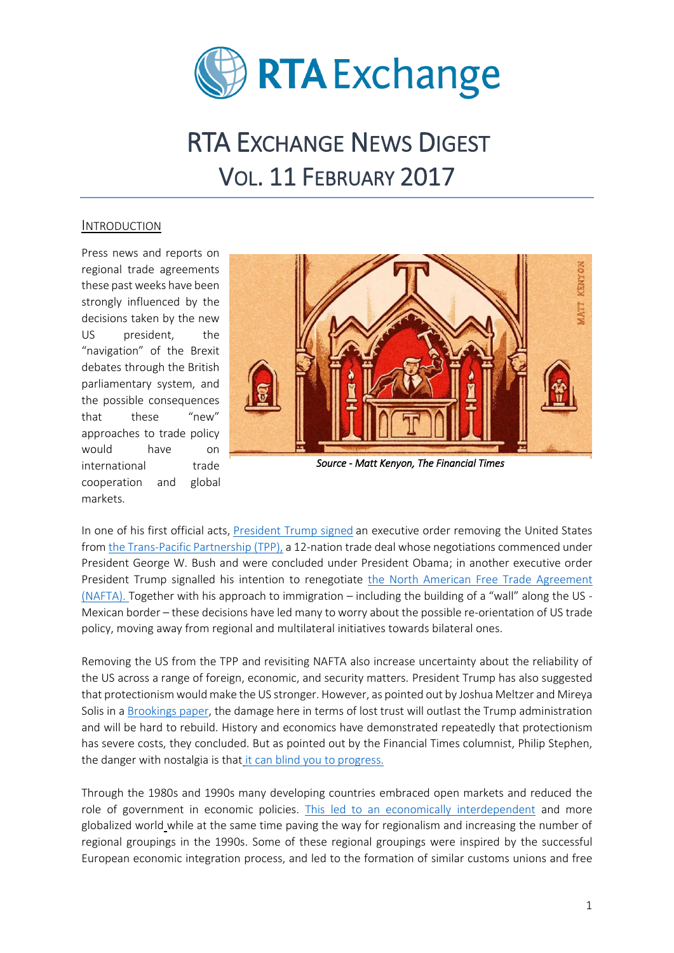

# RTA EXCHANGE NEWS DIGEST VOL. 11 FEBRUARY 2017

## INTRODUCTION

Press news and reports on regional trade agreements these past weeks have been strongly influenced by the decisions taken by the new US president, the "navigation" of the Brexit debates through the British parliamentary system, and the possible consequences that these "new" approaches to trade policy would have on international trade cooperation and global markets.



*Source - Matt Kenyon, The Financial Times* 

In one of his first official acts, [President Trump signed](https://www.washingtonpost.com/news/wonk/wp/2017/01/23/president-trump-signs-order-to-withdraw-from-transpacific-partnership/?utm_term=.befce02c6b82) an executive order removing the United States fro[m the Trans-Pacific Partnership \(TPP\),](https://ustr.gov/trade-agreements/free-trade-agreements/trans-pacific-partnership/tpp-full-text) a 12-nation trade deal whose negotiations commenced under President George W. Bush and were concluded under President Obama; in another executive order President Trump signalled his intention to renegotiate [the North American Free Trade Agreement](https://www.nafta-sec-alena.org/Home/Welcome)  [\(NAFTA\).](https://www.nafta-sec-alena.org/Home/Welcome) Together with his approach to immigration – including the building of a "wall" along the US - Mexican border – these decisions have led many to worry about the possible re-orientation of US trade policy, moving away from regional and multilateral initiatives towards bilateral ones.

Removing the US from the TPP and revisiting NAFTA also increase uncertainty about the reliability of the US across a range of foreign, economic, and security matters. President Trump has also suggested that protectionism would make the US stronger. However, as pointed out by Joshua Meltzer and Mireya Solis in [a Brookings paper,](https://www.brookings.edu/blog/order-from-chaos/2017/02/07/the-high-costs-of-protectionism/?utm_campaign=Foreign+Policy&utm_source=hs_email&utm_medium=email&utm_content=42402990) the damage here in terms of lost trust will outlast the Trump administration and will be hard to rebuild. History and economics have demonstrated repeatedly that protectionism has severe costs, they concluded. But as pointed out by the Financial Times columnist, Philip Stephen, the danger with nostalgia is that [it can blind you to progress.](https://www.ft.com/content/b2db707e-ed61-11e6-ba01-119a44939bb6)

Through the 1980s and 1990s many developing countries embraced open markets and reduced the role of government in economic policies. [This led to an economically interdependent](http://www.huffingtonpost.com/aylin-unver-noi/qua-vadis-transatlantic-v_b_14642268.html) and more globalized world while at the same time paving the way for regionalism and increasing the number of regional groupings in the 1990s. Some of these regional groupings were inspired by the successful European economic integration process, and led to the formation of similar customs unions and free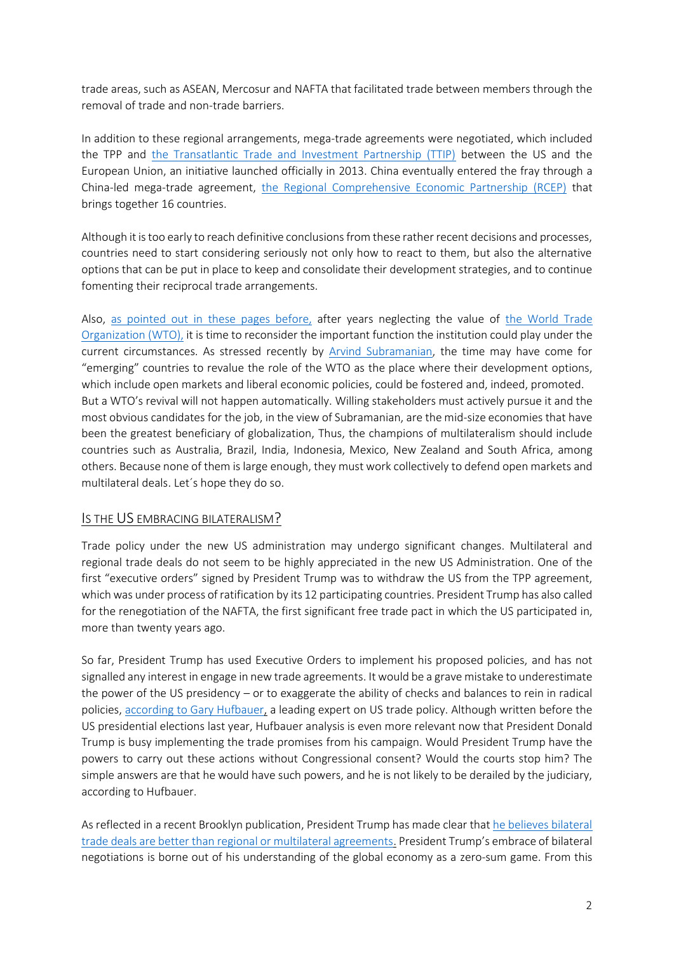trade areas, such as ASEAN, Mercosur and NAFTA that facilitated trade between members through the removal of trade and non-trade barriers.

In addition to these regional arrangements, mega-trade agreements were negotiated, which included the TPP and [the Transatlantic Trade and Investment Partnership \(TTIP\)](http://ec.europa.eu/trade/policy/in-focus/ttip/index_en.htm) between the US and the European Union, an initiative launched officially in 2013. China eventually entered the fray through a China-led mega-trade agreement, [the Regional Comprehensive Economic Partnership \(RCEP\)](http://dfat.gov.au/trade/agreements/rcep/Pages/regional-comprehensive-economic-partnership.aspx) that brings together 16 countries.

Although it is too early to reach definitive conclusions from these rather recent decisions and processes, countries need to start considering seriously not only how to react to them, but also the alternative options that can be put in place to keep and consolidate their development strategies, and to continue fomenting their reciprocal trade arrangements.

Also, [as pointed out in these pages before,](http://www.rtaexchange.org/site/sites/default/files/RTAs%20News%20Digest%20Vol%209%20December%202016%20Special%20Edition.pdf) after years neglecting the value of [the World Trade](https://www.wto.org/)  [Organization \(WTO\),](https://www.wto.org/) it is time to reconsider the important function the institution could play under the current circumstances. As stressed recently by [Arvind Subramanian,](https://www.project-syndicate.org/commentary/wto-trade-multilateralism-revival-by-arvind-subramanian-2017-02) the time may have come for "emerging" countries to revalue the role of the WTO as the place where their development options, which include open markets and liberal economic policies, could be fostered and, indeed, promoted. But a WTO's revival will not happen automatically. Willing stakeholders must actively pursue it and the most obvious candidates for the job, in the view of Subramanian, are the mid-size economies that have been the greatest beneficiary of globalization, Thus, the champions of multilateralism should include countries such as Australia, Brazil, India, Indonesia, Mexico, New Zealand and South Africa, among others. Because none of them is large enough, they must work collectively to defend open markets and multilateral deals. Let´s hope they do so.

## IS THE US EMBRACING BILATERALISM?

Trade policy under the new US administration may undergo significant changes. Multilateral and regional trade deals do not seem to be highly appreciated in the new US Administration. One of the first "executive orders" signed by President Trump was to withdraw the US from the TPP agreement, which was under process of ratification by its 12 participating countries. President Trump has also called for the renegotiation of the NAFTA, the first significant free trade pact in which the US participated in, more than twenty years ago.

So far, President Trump has used Executive Orders to implement his proposed policies, and has not signalled any interest in engage in new trade agreements. It would be a grave mistake to underestimate the power of the US presidency – or to exaggerate the ability of checks and balances to rein in radical policies, [according to Gary Hufbauer,](http://voxeu.org/article/evaluating-trump-s-trade-policies) a leading expert on US trade policy. Although written before the US presidential elections last year, Hufbauer analysis is even more relevant now that President Donald Trump is busy implementing the trade promises from his campaign. Would President Trump have the powers to carry out these actions without Congressional consent? Would the courts stop him? The simple answers are that he would have such powers, and he is not likely to be derailed by the judiciary, according to Hufbauer.

As reflected in a recent Brooklyn publication, President Trump has made clear that [he believes bilateral](https://www.wsj.com/articles/trumps-big-gamble-luring-countries-into-one-on-one-trade-deals-1485483628)  [trade deals are better than regional or multilateral agreements.](https://www.wsj.com/articles/trumps-big-gamble-luring-countries-into-one-on-one-trade-deals-1485483628) President Trump's embrace of bilateral negotiations is borne out of his understanding of the global economy as a zero-sum game. From this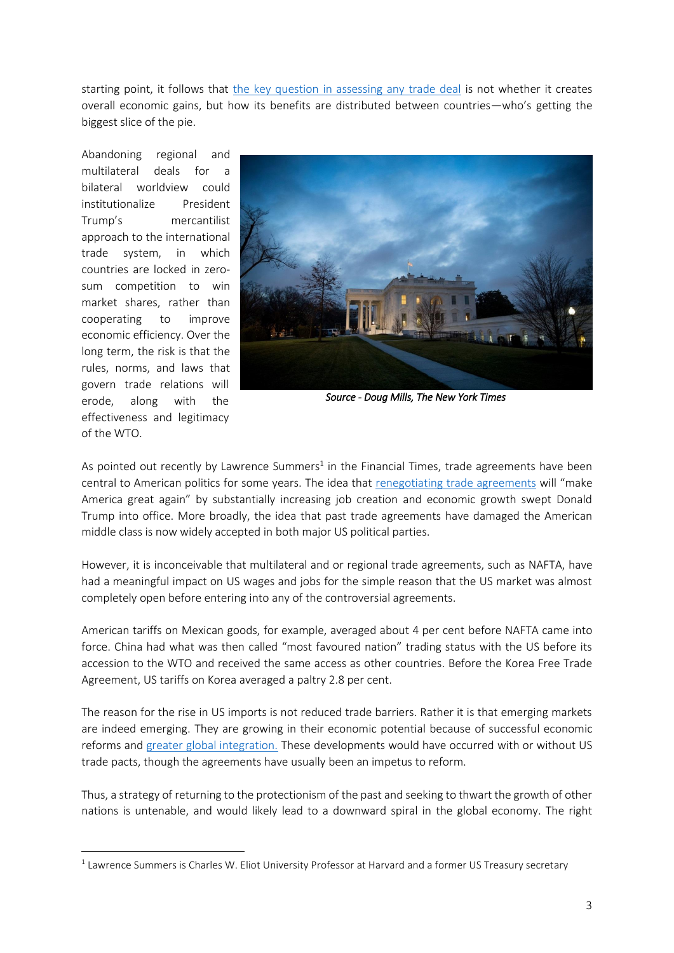starting point, it follows that [the key question in assessing any trade deal](https://www.brookings.edu/blog/future-development/2017/02/08/what-will-trumps-embrace-of-bilateralism-mean-for-americas-trade-partners/?utm_campaign=Brookings+Brief&utm_source=hs_email&utm_medium=email&utm_content=42428351) is not whether it creates overall economic gains, but how its benefits are distributed between countries—who's getting the biggest slice of the pie.

Abandoning regional and multilateral deals for a bilateral worldview could institutionalize President Trump's mercantilist approach to the international trade system, in which countries are locked in zerosum competition to win market shares, rather than cooperating to improve economic efficiency. Over the long term, the risk is that the rules, norms, and laws that govern trade relations will erode, along with the effectiveness and legitimacy of the WTO.

**.** 



*Source - Doug Mills, The New York Times* 

As pointed out recently by Lawrence Summers<sup>1</sup> in the Financial Times, trade agreements have been central to American politics for some years. The idea that [renegotiating trade agreements](https://www.ft.com/content/cd4e8576-e934-11e6-967b-c88452263daf?desktop=true&segmentId=dd5c99e9-30be-ddd0-c634-ff3a0c2b738f) will "make America great again" by substantially increasing job creation and economic growth swept Donald Trump into office. More broadly, the idea that past trade agreements have damaged the American middle class is now widely accepted in both major US political parties.

However, it is inconceivable that multilateral and or regional trade agreements, such as NAFTA, have had a meaningful impact on US wages and jobs for the simple reason that the US market was almost completely open before entering into any of the controversial agreements.

American tariffs on Mexican goods, for example, averaged about 4 per cent before NAFTA came into force. China had what was then called "most favoured nation" trading status with the US before its accession to the WTO and received the same access as other countries. Before the Korea Free Trade Agreement, US tariffs on Korea averaged a paltry 2.8 per cent.

The reason for the rise in US imports is not reduced trade barriers. Rather it is that emerging markets are indeed emerging. They are growing in their economic potential because of successful economic reforms and [greater global integration.](https://www.ft.com/content/cd4e8576-e934-11e6-967b-c88452263daf?desktop=true&segmentId=dd5c99e9-30be-ddd0-c634-ff3a0c2b738f) These developments would have occurred with or without US trade pacts, though the agreements have usually been an impetus to reform.

Thus, a strategy of returning to the protectionism of the past and seeking to thwart the growth of other nations is untenable, and would likely lead to a downward spiral in the global economy. The right

 $<sup>1</sup>$  Lawrence Summers is Charles W. Eliot University Professor at Harvard and a former US Treasury secretary</sup>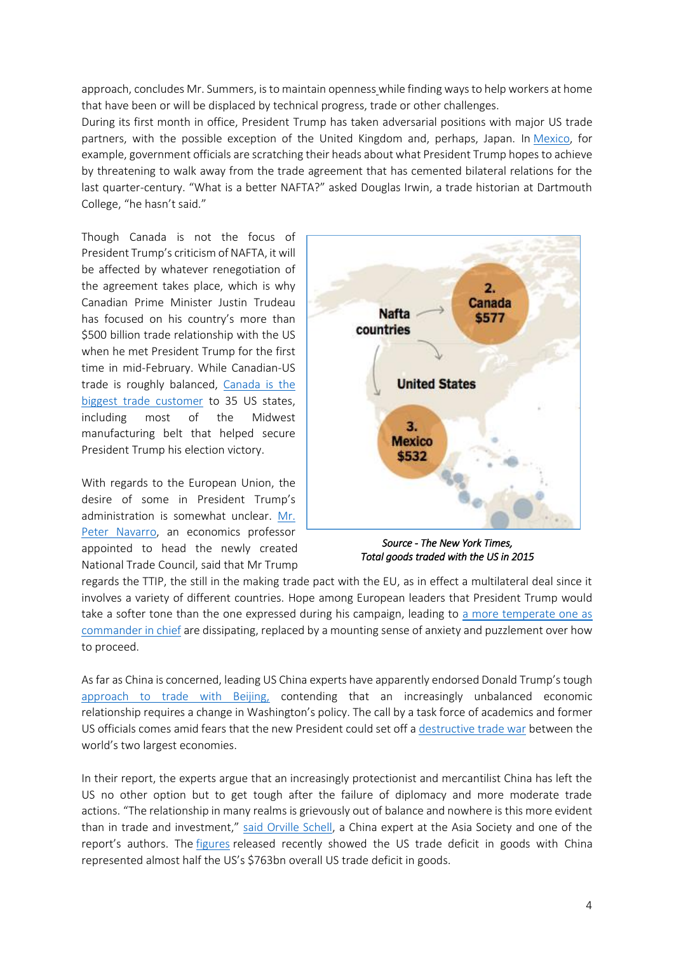approach, concludes Mr. Summers, is to maintain openness while finding ways to help workers at home that have been or will be displaced by technical progress, trade or other challenges.

During its first month in office, President Trump has taken adversarial positions with major US trade partners, with the possible exception of the United Kingdom and, perhaps, Japan. In [Mexico,](http://topics.nytimes.com/top/news/international/countriesandterritories/mexico/index.html?inline=nyt-geo) for example, government officials are scratching their heads about what President Trump hopes to achieve by threatening to walk away from the trade agreement that has cemented bilateral relations for the last quarter-century. "What is a better NAFTA?" asked Douglas Irwin, a trade historian at Dartmouth College, "he hasn't said."

Though Canada is not the focus of President Trump's criticism of NAFTA, it will be affected by whatever renegotiation of the agreement takes place, which is why Canadian Prime Minister Justin Trudeau has focused on his country's more than \$500 billion trade relationship with the US when he met President Trump for the first time in mid-February. While Canadian-US trade is roughly balanced, [Canada is the](https://www.ft.com/content/9aaa4d8c-f139-11e6-8758-6876151821a6?desktop=true&segmentId=dd5c99e9-30be-ddd0-c634-ff3a0c2b738f)  [biggest trade customer](https://www.ft.com/content/9aaa4d8c-f139-11e6-8758-6876151821a6?desktop=true&segmentId=dd5c99e9-30be-ddd0-c634-ff3a0c2b738f) to 35 US states, including most of the Midwest manufacturing belt that helped secure President Trump his election victory.

With regards to the European Union, the desire of some in President Trump's administration is somewhat unclear. [Mr.](https://www.ft.com/content/57f104d2-e742-11e6-893c-082c54a7f539)  [Peter Navarro,](https://www.ft.com/content/57f104d2-e742-11e6-893c-082c54a7f539) an economics professor appointed to head the newly created National Trade Council, said that Mr Trump



*Source - The New York Times, Total goods traded with the US in 2015* 

regards the TTIP, the still in the making trade pact with the EU, as in effect a multilateral deal since it involves a variety of different countries. Hope among European leaders that President Trump would take a softer tone than the one expressed during his campaign, leading to [a more temperate one as](https://www.nytimes.com/2017/02/02/world/europe/trump-european-union.html?hp&action=click&pgtype=Homepage&clickSource=story-heading&module=a-lede-package-region®ion=top-news&WT.nav=top-news&_r=0)  [commander in chief](https://www.nytimes.com/2017/02/02/world/europe/trump-european-union.html?hp&action=click&pgtype=Homepage&clickSource=story-heading&module=a-lede-package-region®ion=top-news&WT.nav=top-news&_r=0) are dissipating, replaced by a mounting sense of anxiety and puzzlement over how to proceed.

As far as China is concerned, leading US China experts have apparently endorsed Donald Trump's tough [approach to trade with Beijing,](https://www.ft.com/content/180cc9c4-ed54-11e6-930f-061b01e23655?desktop=true&segmentId=dd5c99e9-30be-ddd0-c634-ff3a0c2b738f) contending that an increasingly unbalanced economic relationship requires a change in Washington's policy. The call by a task force of academics and former US officials comes amid fears that the new President could set off a [destructive trade war](https://www.ft.com/content/464b526c-e6d6-11e6-967b-c88452263daf) between the world's two largest economies.

In their report, the experts argue that an increasingly protectionist and mercantilist China has left the US no other option but to get tough after the failure of diplomacy and more moderate trade actions. "The relationship in many realms is grievously out of balance and nowhere is this more evident than in trade and investment," [said Orville Schell,](https://www.ft.com/content/180cc9c4-ed54-11e6-930f-061b01e23655) a China expert at the Asia Society and one of the report's authors. The [figures](https://www.census.gov/foreign-trade/statistics/highlights/annual.html) released recently showed the US trade deficit in goods with China represented almost half the US's \$763bn overall US trade deficit in goods.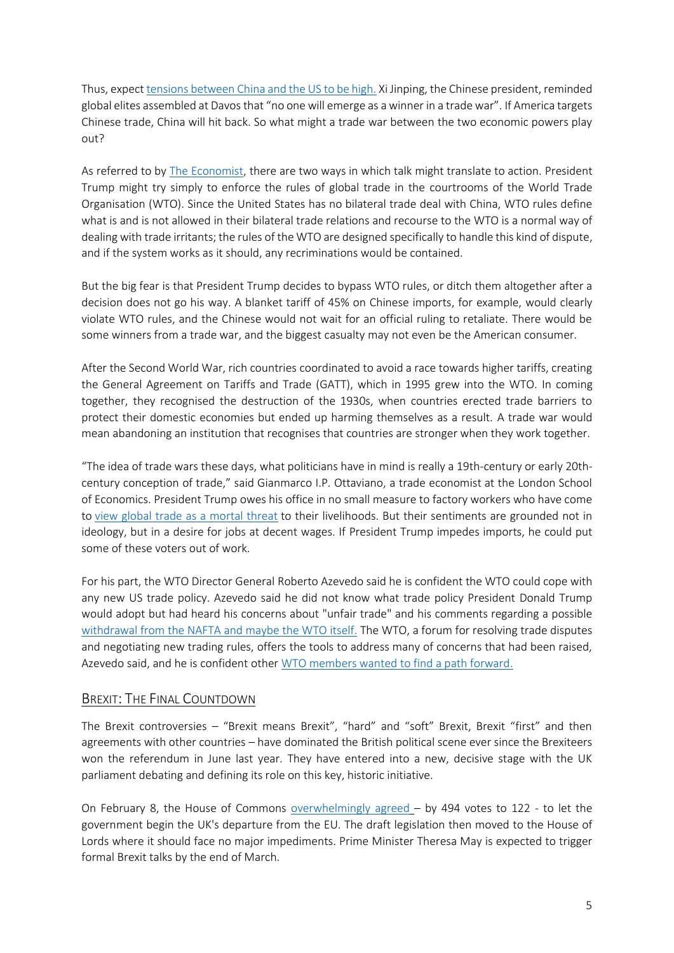Thus, expec[t tensions between China and the US to be high.](http://www.economist.com/blogs/economist-explains/2017/02/economist-explains-2?cid1=cust%2Fddnew%2Fn%2Fn%2Fn%2F2017026n%2Fowned%2Fn%2Fn%2Fnwl%2Fn%2Fn%2FE%2Femail) Xi Jinping, the Chinese president, reminded global elites assembled at Davos that "no one will emerge as a winner in a trade war". If America targets Chinese trade, China will hit back. So what might a trade war between the two economic powers play out?

As referred to b[y The Economist,](http://www.economist.com/blogs/economist-explains/2017/02/economist-explains-2?cid1=cust%2Fddnew%2Fn%2Fn%2Fn%2F2017026n%2Fowned%2Fn%2Fn%2Fnwl%2Fn%2Fn%2FE%2Femail) there are two ways in which talk might translate to action. President Trump might try simply to enforce the rules of global trade in the courtrooms of the World Trade Organisation (WTO). Since the United States has no bilateral trade deal with China, WTO rules define what is and is not allowed in their bilateral trade relations and recourse to the WTO is a normal way of dealing with trade irritants; the rules of the WTO are designed specifically to handle this kind of dispute, and if the system works as it should, any recriminations would be contained.

But the big fear is that President Trump decides to bypass WTO rules, or ditch them altogether after a decision does not go his way. A blanket tariff of 45% on Chinese imports, for example, would clearly violate WTO rules, and the Chinese would not wait for an official ruling to retaliate. There would be some winners from a trade war, and the biggest casualty may not even be the American consumer.

After the Second World War, rich countries coordinated to avoid a race towards higher tariffs, creating the General Agreement on Tariffs and Trade (GATT), which in 1995 grew into the WTO. In coming together, they recognised the destruction of the 1930s, when countries erected trade barriers to protect their domestic economies but ended up harming themselves as a result. A trade war would mean abandoning an institution that recognises that countries are stronger when they work together.

"The idea of trade wars these days, what politicians have in mind is really a 19th-century or early 20thcentury conception of trade," said Gianmarco I.P. Ottaviano, a trade economist at the London School of Economics. President Trump owes his office in no small measure to factory workers who have come to [view global trade as a mortal threat](https://www.nytimes.com/2016/09/29/business/economy/more-wealth-more-jobs-but-not-for-everyone-what-fuels-the-backlash-on-trade.html) to their livelihoods. But their sentiments are grounded not in ideology, but in a desire for jobs at decent wages. If President Trump impedes imports, he could put some of these voters out of work.

For his part, the WTO Director General Roberto Azevedo said he is confident the WTO could cope with any new US trade policy. Azevedo said he did not know what trade policy President Donald Trump would adopt but had heard his concerns about "unfair trade" and his comments regarding a possible withdrawal [from the NAFTA and maybe the WTO itself.](http://www.reuters.com/article/us-trade-us-wto-idUSKBN1611EJ) The WTO, a forum for resolving trade disputes and negotiating new trading rules, offers the tools to address many of concerns that had been raised, Azevedo said, and he is confident other [WTO members wanted to find a path forward.](https://www.bloomberg.com/news/articles/2017-02-22/trump-s-trade-concerns-wto-head-says-organization-can-handle-it)

# BREXIT: THE FINAL COUNTDOWN

The Brexit controversies – "Brexit means Brexit", "hard" and "soft" Brexit, Brexit "first" and then agreements with other countries – have dominated the British political scene ever since the Brexiteers won the referendum in June last year. They have entered into a new, decisive stage with the UK parliament debating and defining its role on this key, historic initiative.

On February 8, the House of Commons [overwhelmingly agreed](http://www.bbc.com/news/uk-politics-38902484) – by 494 votes to 122 - to let the government begin the UK's departure from the EU. The draft legislation then moved to the House of Lords where it should face no major impediments. Prime Minister Theresa May is expected to trigger formal Brexit talks by the end of March.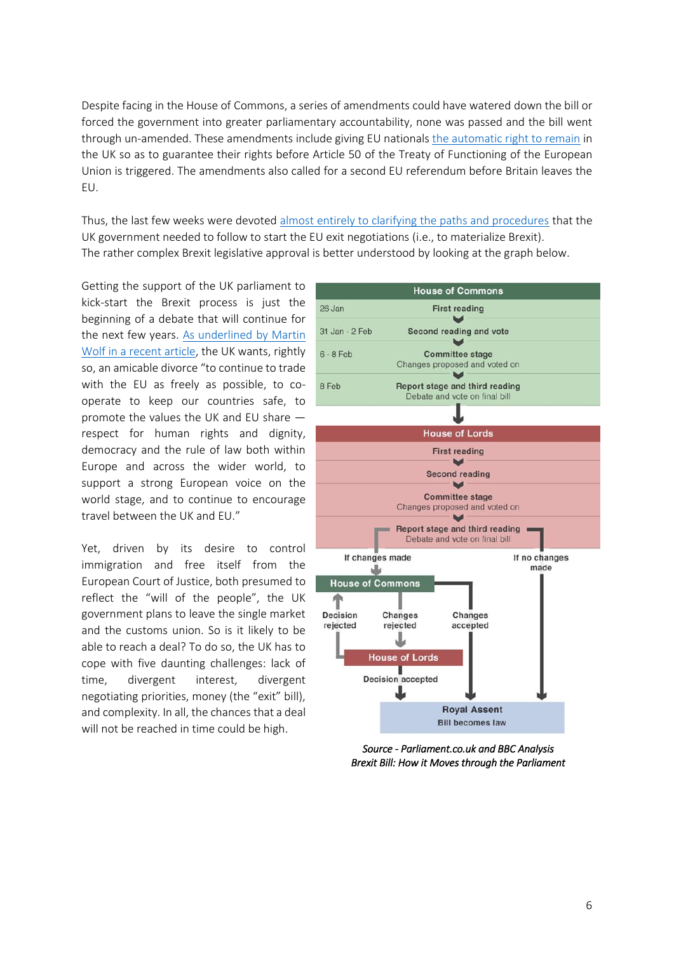Despite facing in the House of Commons, a series of amendments could have watered down the bill or forced the government into greater parliamentary accountability, none was passed and the bill went through un-amended. These amendments include giving EU nationals [the automatic right to remain](https://www.ft.com/content/94c17af0-ec7d-11e6-930f-061b01e23655) in the UK so as to guarantee their rights before Article 50 of the Treaty of Functioning of the European Union is triggered. The amendments also called for a second EU referendum before Britain leaves the EU.

Thus, the last few weeks were devoted [almost entirely to clarifying the paths and procedures](https://www.ft.com/content/bbd70038-f8f8-11e6-bd4e-68d53499ed71?desktop=true&segmentId=7c8f09b9-9b61-4fbb-9430-9208a9e233c8) that the UK government needed to follow to start the EU exit negotiations (i.e., to materialize Brexit). The rather complex Brexit legislative approval is better understood by looking at the graph below.

Getting the support of the UK parliament to kick-start the Brexit process is just the beginning of a debate that will continue for the next few years. [As underlined by Martin](https://www.ft.com/content/6e3aeb4a-ec65-11e6-930f-061b01e23655)  [Wolf in a recent article,](https://www.ft.com/content/6e3aeb4a-ec65-11e6-930f-061b01e23655) the UK wants, rightly so, an amicable divorce "to continue to trade with the EU as freely as possible, to cooperate to keep our countries safe, to promote the values the UK and EU share respect for human rights and dignity, democracy and the rule of law both within Europe and across the wider world, to support a strong European voice on the world stage, and to continue to encourage travel between the UK and EU."

Yet, driven by its desire to control immigration and free itself from the European Court of Justice, both presumed to reflect the "will of the people", the UK government plans to leave the single market and the customs union. So is it likely to be able to reach a deal? To do so, the UK has to cope with five daunting challenges: lack of time, divergent interest, divergent negotiating priorities, money (the "exit" bill), and complexity. In all, the chances that a deal will not be reached in time could be high.



*Source - Parliament.co.uk and BBC Analysis Brexit Bill: How it Moves through the Parliament*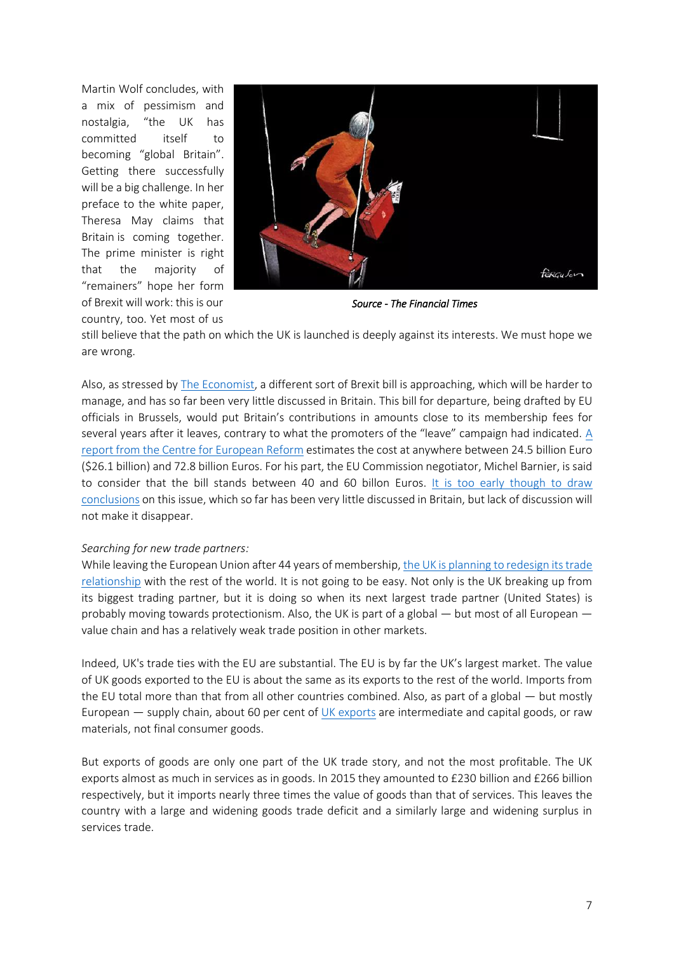Martin Wolf concludes, with a mix of pessimism and nostalgia, "the UK has committed itself to becoming "global Britain". Getting there successfully will be a big challenge. In her preface to the white paper, Theresa May claims that Britain is coming together. The prime minister is right that the majority of "remainers" hope her form of Brexit will work: this is our country, too. Yet most of us



*Source - The Financial Times* 

still believe that the path on which the UK is launched is deeply against its interests. We must hope we are wrong.

Also, as stressed b[y The Economist,](http://www.economist.com/news/britain/21716629-bitter-argument-over-money-looms-multi-billion-euro-exit-charge-could-sink-brexit?cid1=cust%2Fddnew%2Fn%2Fn%2Fn%2F2017029n%2Fowned%2Fn%2Fn%2Fnwl%2Fn%2Fn%2FE%2Femail) a different sort of Brexit bill is approaching, which will be harder to manage, and has so far been very little discussed in Britain. This bill for departure, being drafted by EU officials in Brussels, would put Britain's contributions in amounts close to its membership fees for several years after it leaves, contrary to what the promoters of the "leave" campaign had indicated. [A](http://www.cer.org.uk/publications/archive/policy-brief/2017/%E2%82%AC60-billion-brexit-bill-how-disentangle-britain-eu-budget)  report from [the Centre for European Reform](http://www.cer.org.uk/publications/archive/policy-brief/2017/%E2%82%AC60-billion-brexit-bill-how-disentangle-britain-eu-budget) estimates the cost at anywhere between 24.5 billion Euro (\$26.1 billion) and 72.8 billion Euros. For his part, the EU Commission negotiator, Michel Barnier, is said to consider that the bill stands between 40 and 60 billon Euros. [It is too early though to draw](http://www.economist.com/news/britain/21716629-bitter-argument-over-money-looms-multi-billion-euro-exit-charge-could-sink-brexit?cid1=cust%2Fddnew%2Fn%2Fn%2Fn%2F2017029n%2Fowned%2Fn%2Fn%2Fnwl%2Fn%2Fn%2FE%2Femail)  [conclusions](http://www.economist.com/news/britain/21716629-bitter-argument-over-money-looms-multi-billion-euro-exit-charge-could-sink-brexit?cid1=cust%2Fddnew%2Fn%2Fn%2Fn%2F2017029n%2Fowned%2Fn%2Fn%2Fnwl%2Fn%2Fn%2FE%2Femail) on this issue, which so far has been very little discussed in Britain, but lack of discussion will not make it disappear.

### *Searching for new trade partners:*

While leaving the European Union after 44 years of membership[, the UK is planning to redesign its trade](https://www.ft.com/content/37aa67a0-e94e-11e6-893c-082c54a7f539)  [relationship](https://www.ft.com/content/37aa67a0-e94e-11e6-893c-082c54a7f539) with the rest of the world. It is not going to be easy. Not only is the UK breaking up from its biggest trading partner, but it is doing so when its next largest trade partner (United States) is probably moving towards protectionism. Also, the UK is part of a global — but most of all European value chain and has a relatively weak trade position in other markets.

Indeed, UK's trade ties with the EU are substantial. The EU is by far the UK's largest market. The value of UK goods exported to the EU is about the same as its exports to the rest of the world. Imports from the EU total more than that from all other countries combined. Also, as part of a global — but mostly European — supply chain, about 60 per cent of [UK exports](http://wits.worldbank.org/CountryProfile/en/Country/WLD/Year/2014/TradeFlow/Export/Partner/all/Product/UNCTAD-SoP2) are intermediate and capital goods, or raw materials, not final consumer goods.

But exports of goods are only one part of the UK trade story, and not the most profitable. The UK exports almost as much in services as in goods. In 2015 they amounted to £230 billion and £266 billion respectively, but it imports nearly three times the value of goods than that of services. This leaves the country with a large and widening goods trade deficit and a similarly large and widening surplus in services trade.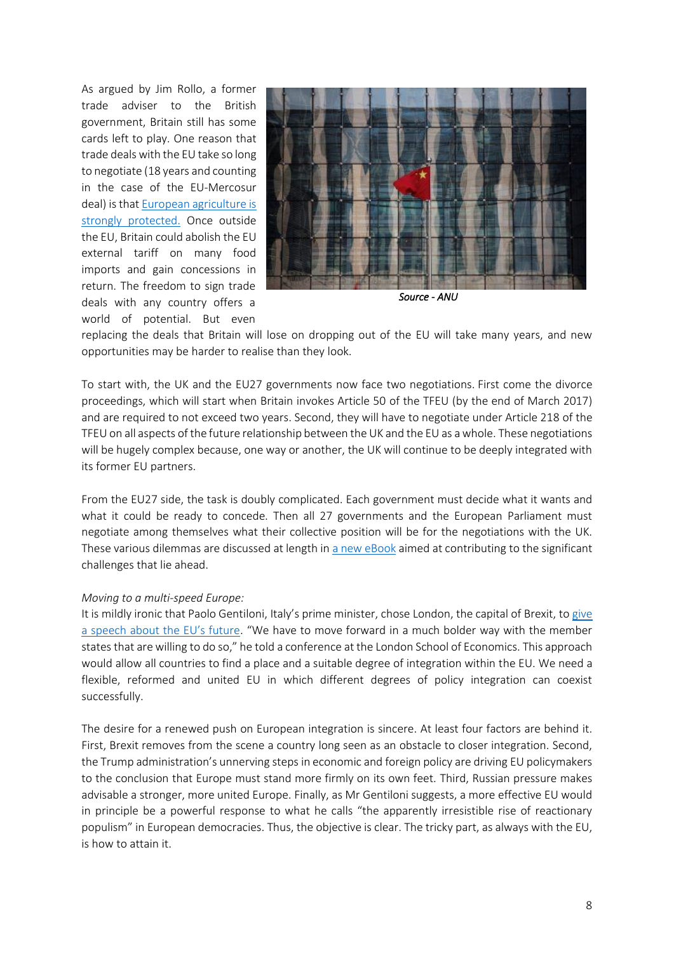As argued by Jim Rollo, a former trade adviser to the British government, Britain still has some cards left to play. One reason that trade deals with the EU take so long to negotiate (18 years and counting in the case of the EU-Mercosur deal) is tha[t European agriculture is](http://www.economist.com/news/britain/21716083-world-opportunity-will-open-upbut-seizing-those-chances-may-be-harder-it-looks-where)  [strongly protected.](http://www.economist.com/news/britain/21716083-world-opportunity-will-open-upbut-seizing-those-chances-may-be-harder-it-looks-where) Once outside the EU, Britain could abolish the EU external tariff on many food imports and gain concessions in return. The freedom to sign trade deals with any country offers a world of potential. But even



*Source - ANU* 

replacing the deals that Britain will lose on dropping out of the EU will take many years, and new opportunities may be harder to realise than they look.

To start with, the UK and the EU27 governments now face two negotiations. First come the divorce proceedings, which will start when Britain invokes Article 50 of the TFEU (by the end of March 2017) and are required to not exceed two years. Second, they will have to negotiate under Article 218 of the TFEU on all aspects of the future relationship between the UK and the EU as a whole. These negotiations will be hugely complex because, one way or another, the UK will continue to be deeply integrated with its former EU partners.

From the EU27 side, the task is doubly complicated. Each government must decide what it wants and what it could be ready to concede. Then all 27 governments and the European Parliament must negotiate among themselves what their collective position will be for the negotiations with the UK. These various dilemmas are discussed at length i[n a new eBook](http://voxeu.org/content/what-do-uk-eu-perspectives-brexit) aimed at contributing to the significant challenges that lie ahead.

### *Moving to a multi-speed Europe:*

It is mildly ironic that Paolo Gentiloni, Italy's prime minister, chose London, the capital of Brexit, to give [a speech about the EU's future.](http://www.irishtimes.com/opinion/rekindling-spirit-of-eu-founding-text-will-not-be-easy-1.2986789) "We have to move forward in a much bolder way with the member states that are willing to do so," he told a conference at the London School of Economics. This approach would allow all countries to find a place and a suitable degree of integration within the EU. We need a flexible, reformed and united EU in which different degrees of policy integration can coexist successfully.

The desire for a renewed push on European integration is sincere. At least four factors are behind it. First, Brexit removes from the scene a country long seen as an obstacle to closer integration. Second, the Trump administration's unnerving steps in economic and foreign policy are driving EU policymakers to the conclusion that Europe must stand more firmly on its own feet. Third, Russian pressure makes advisable a stronger, more united Europe. Finally, as Mr Gentiloni suggests, a more effective EU would in principle be a powerful response to what he calls "the apparently irresistible rise of reactionary populism" in European democracies. Thus, the objective is clear. The tricky part, as always with the EU, is how to attain it.